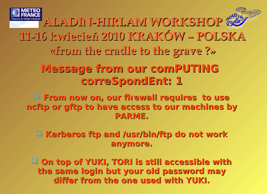

**ALADIN-HIRLAM WORKSHOP 11-16 kwiecień 2010 KRAKÓW – POLSKA «from the cradle to the grave ?»**

**Message from our comPUTING correSpondEnt: 1**

 **From now on, our firewall requires to use ncftp or gftp to have access to our machines by PARME.**

 **Kerberos ftp and /usr/bin/ftp do not work anymore.**

 **On top of YUKI, TORI is still accessible with the same login but your old password may differ from the one used with YUKI.**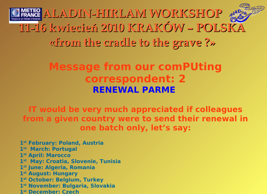**ALADIN-HIRLAM WORKSHOP 11-16 kwiecień 2010 KRAKÓW – POLSKA «from the cradle to the grave ?»**

## **Message from our comPUting correspondent: 2 RENEWAL PARME**

**IT would be very much appreciated if colleagues from a given country were to send their renewal in one batch only, let's say:**

**st February: Poland, Austria st March: Portugal st April: Marocco st May: Croatia, Slovenie, Tunisia st June: Algeria, Romania st August: Hungary st October: Belgium, Turkey st November: Bulgaria, Slovakia st December: Czech**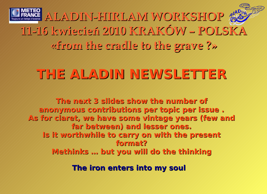

## **THE ALADIN NEWSLETTER**

**The next 3 slides show the number of anonymous contributions per topic per issue .** As for claret, we have some vintage years (few and **far between) and lesser ones. Is it worthwhile to carry on with the present format? Methinks … but you will do the thinking**

**The iron enters into my soul**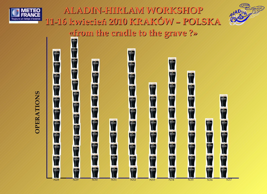



**ALADIN-HIRLAM WORKSHOP 11-16 kwiecień 2010 KRAKÓW – POLSKA «from the cradle to the grave ?»** GUINNESS



**OPERATIONS OPERATIONS**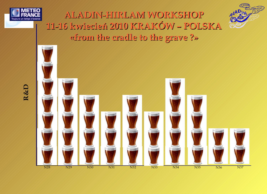





**R&D**

N28 N29 N30 N31 N32 N33 N34 N35 N36 N37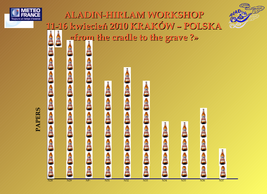





## **PAPERS**